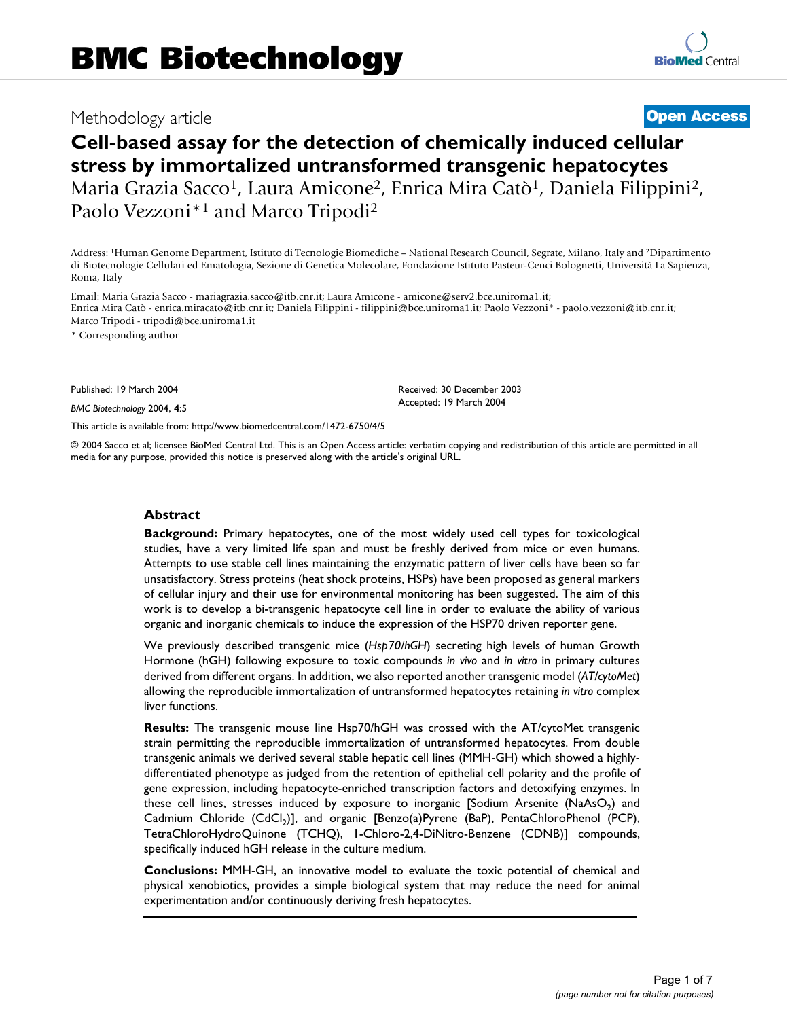# Methodology article **[Open Access](http://www.biomedcentral.com/info/about/charter/)**

# **Cell-based assay for the detection of chemically induced cellular stress by immortalized untransformed transgenic hepatocytes** Maria Grazia Sacco<sup>1</sup>, Laura Amicone<sup>2</sup>, Enrica Mira Catò<sup>1</sup>, Daniela Filippini<sup>2</sup>, Paolo Vezzoni\*1 and Marco Tripodi2

Address: 1Human Genome Department, Istituto di Tecnologie Biomediche – National Research Council, Segrate, Milano, Italy and 2Dipartimento di Biotecnologie Cellulari ed Ematologia, Sezione di Genetica Molecolare, Fondazione Istituto Pasteur-Cenci Bolognetti, Università La Sapienza, Roma, Italy

Email: Maria Grazia Sacco - mariagrazia.sacco@itb.cnr.it; Laura Amicone - amicone@serv2.bce.uniroma1.it; Enrica Mira Catò - enrica.miracato@itb.cnr.it; Daniela Filippini - filippini@bce.uniroma1.it; Paolo Vezzoni\* - paolo.vezzoni@itb.cnr.it; Marco Tripodi - tripodi@bce.uniroma1.it

\* Corresponding author

Published: 19 March 2004

*BMC Biotechnology* 2004, **4**:5

[This article is available from: http://www.biomedcentral.com/1472-6750/4/5](http://www.biomedcentral.com/1472-6750/4/5)

© 2004 Sacco et al; licensee BioMed Central Ltd. This is an Open Access article: verbatim copying and redistribution of this article are permitted in all media for any purpose, provided this notice is preserved along with the article's original URL.

Received: 30 December 2003 Accepted: 19 March 2004

#### **Abstract**

**Background:** Primary hepatocytes, one of the most widely used cell types for toxicological studies, have a very limited life span and must be freshly derived from mice or even humans. Attempts to use stable cell lines maintaining the enzymatic pattern of liver cells have been so far unsatisfactory. Stress proteins (heat shock proteins, HSPs) have been proposed as general markers of cellular injury and their use for environmental monitoring has been suggested. The aim of this work is to develop a bi-transgenic hepatocyte cell line in order to evaluate the ability of various organic and inorganic chemicals to induce the expression of the HSP70 driven reporter gene.

We previously described transgenic mice (*Hsp70/hGH*) secreting high levels of human Growth Hormone (hGH) following exposure to toxic compounds *in vivo* and *in vitro* in primary cultures derived from different organs. In addition, we also reported another transgenic model (*AT/cytoMet*) allowing the reproducible immortalization of untransformed hepatocytes retaining *in vitro* complex liver functions.

**Results:** The transgenic mouse line Hsp70/hGH was crossed with the AT/cytoMet transgenic strain permitting the reproducible immortalization of untransformed hepatocytes. From double transgenic animals we derived several stable hepatic cell lines (MMH-GH) which showed a highlydifferentiated phenotype as judged from the retention of epithelial cell polarity and the profile of gene expression, including hepatocyte-enriched transcription factors and detoxifying enzymes. In these cell lines, stresses induced by exposure to inorganic [Sodium Arsenite (NaAsO<sub>2</sub>) and Cadmium Chloride (CdCl<sub>2</sub>)], and organic [Benzo(a)Pyrene (BaP), PentaChloroPhenol (PCP), TetraChloroHydroQuinone (TCHQ), 1-Chloro-2,4-DiNitro-Benzene (CDNB)] compounds, specifically induced hGH release in the culture medium.

**Conclusions:** MMH-GH, an innovative model to evaluate the toxic potential of chemical and physical xenobiotics, provides a simple biological system that may reduce the need for animal experimentation and/or continuously deriving fresh hepatocytes.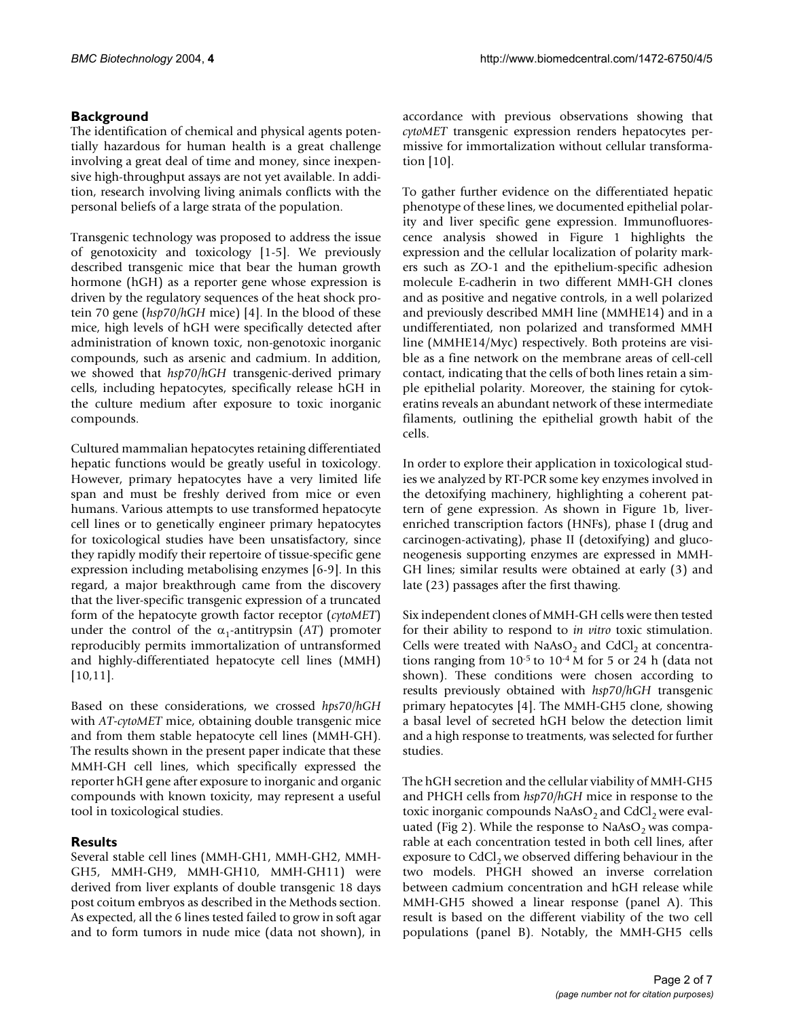## **Background**

The identification of chemical and physical agents potentially hazardous for human health is a great challenge involving a great deal of time and money, since inexpensive high-throughput assays are not yet available. In addition, research involving living animals conflicts with the personal beliefs of a large strata of the population.

Transgenic technology was proposed to address the issue of genotoxicity and toxicology [1-5]. We previously described transgenic mice that bear the human growth hormone (hGH) as a reporter gene whose expression is driven by the regulatory sequences of the heat shock protein 70 gene (*hsp70/hGH* mice) [4]. In the blood of these mice, high levels of hGH were specifically detected after administration of known toxic, non-genotoxic inorganic compounds, such as arsenic and cadmium. In addition, we showed that *hsp70/hGH* transgenic-derived primary cells, including hepatocytes, specifically release hGH in the culture medium after exposure to toxic inorganic compounds.

Cultured mammalian hepatocytes retaining differentiated hepatic functions would be greatly useful in toxicology. However, primary hepatocytes have a very limited life span and must be freshly derived from mice or even humans. Various attempts to use transformed hepatocyte cell lines or to genetically engineer primary hepatocytes for toxicological studies have been unsatisfactory, since they rapidly modify their repertoire of tissue-specific gene expression including metabolising enzymes [6-9]. In this regard, a major breakthrough came from the discovery that the liver-specific transgenic expression of a truncated form of the hepatocyte growth factor receptor (*cytoMET*) under the control of the  $\alpha_1$ -antitrypsin (*AT*) promoter reproducibly permits immortalization of untransformed and highly-differentiated hepatocyte cell lines (MMH) [10,11].

Based on these considerations, we crossed *hps70/hGH* with *AT-cytoMET* mice, obtaining double transgenic mice and from them stable hepatocyte cell lines (MMH-GH). The results shown in the present paper indicate that these MMH-GH cell lines, which specifically expressed the reporter hGH gene after exposure to inorganic and organic compounds with known toxicity, may represent a useful tool in toxicological studies.

# **Results**

Several stable cell lines (MMH-GH1, MMH-GH2, MMH-GH5, MMH-GH9, MMH-GH10, MMH-GH11) were derived from liver explants of double transgenic 18 days post coitum embryos as described in the Methods section. As expected, all the 6 lines tested failed to grow in soft agar and to form tumors in nude mice (data not shown), in

accordance with previous observations showing that *cytoMET* transgenic expression renders hepatocytes permissive for immortalization without cellular transformation [10].

To gather further evidence on the differentiated hepatic phenotype of these lines, we documented epithelial polarity and liver specific gene expression. Immunofluorescence analysis showed in Figure [1](#page-2-0) highlights the expression and the cellular localization of polarity markers such as ZO-1 and the epithelium-specific adhesion molecule E-cadherin in two different MMH-GH clones and as positive and negative controls, in a well polarized and previously described MMH line (MMHE14) and in a undifferentiated, non polarized and transformed MMH line (MMHE14/Myc) respectively. Both proteins are visible as a fine network on the membrane areas of cell-cell contact, indicating that the cells of both lines retain a simple epithelial polarity. Moreover, the staining for cytokeratins reveals an abundant network of these intermediate filaments, outlining the epithelial growth habit of the cells.

In order to explore their application in toxicological studies we analyzed by RT-PCR some key enzymes involved in the detoxifying machinery, highlighting a coherent pattern of gene expression. As shown in Figure [1b](#page-2-0), liverenriched transcription factors (HNFs), phase I (drug and carcinogen-activating), phase II (detoxifying) and gluconeogenesis supporting enzymes are expressed in MMH-GH lines; similar results were obtained at early (3) and late (23) passages after the first thawing.

Six independent clones of MMH-GH cells were then tested for their ability to respond to *in vitro* toxic stimulation. Cells were treated with  $NaAsO<sub>2</sub>$  and CdCl<sub>2</sub> at concentrations ranging from 10-5 to 10-4 M for 5 or 24 h (data not shown). These conditions were chosen according to results previously obtained with *hsp70/hGH* transgenic primary hepatocytes [4]. The MMH-GH5 clone, showing a basal level of secreted hGH below the detection limit and a high response to treatments, was selected for further studies.

The hGH secretion and the cellular viability of MMH-GH5 and PHGH cells from *hsp70/hGH* mice in response to the toxic inorganic compounds  $NaAsO<sub>2</sub>$  and  $CdCl<sub>2</sub>$  were evaluated (Fig 2). While the response to NaAsO<sub>2</sub> was comparable at each concentration tested in both cell lines, after exposure to  $CdCl<sub>2</sub>$  we observed differing behaviour in the two models. PHGH showed an inverse correlation between cadmium concentration and hGH release while MMH-GH5 showed a linear response (panel A). This result is based on the different viability of the two cell populations (panel B). Notably, the MMH-GH5 cells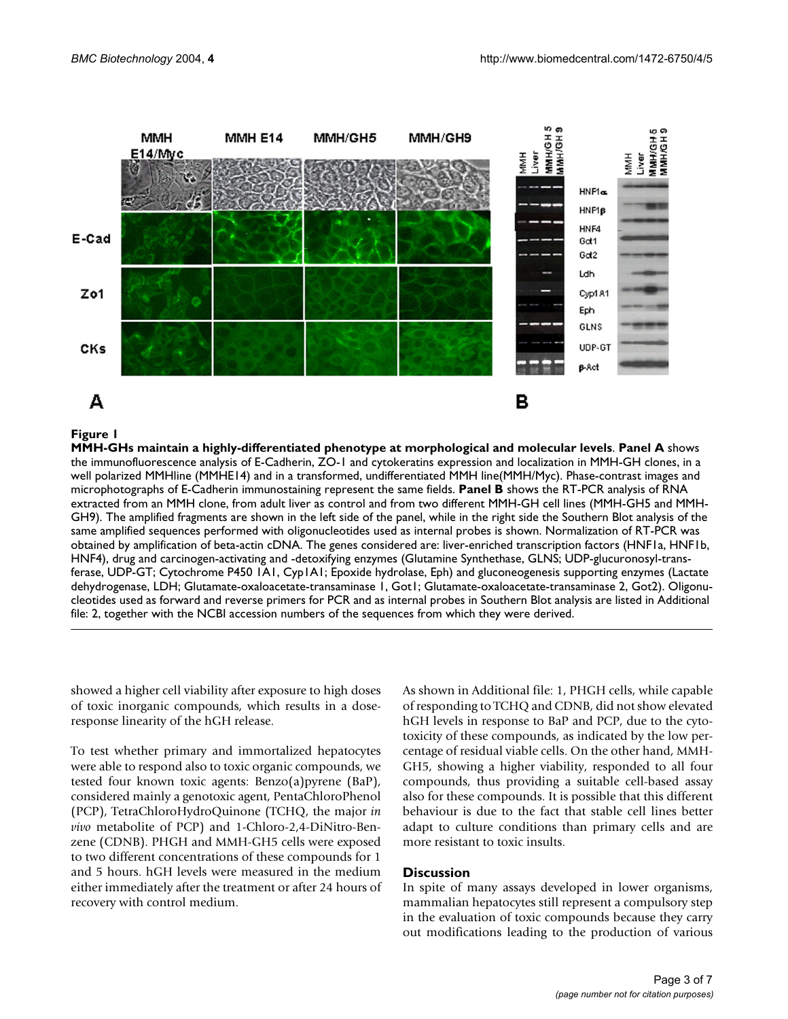<span id="page-2-0"></span>

#### MMH-GHs maintain a highly-differentiated phe **Figure 1** notype at morphological and molecular levels

**MMH-GHs maintain a highly-differentiated phenotype at morphological and molecular levels**. **Panel A** shows the immunofluorescence analysis of E-Cadherin, ZO-1 and cytokeratins expression and localization in MMH-GH clones, in a well polarized MMHline (MMHE14) and in a transformed, undifferentiated MMH line(MMH/Myc). Phase-contrast images and microphotographs of E-Cadherin immunostaining represent the same fields. **Panel B** shows the RT-PCR analysis of RNA extracted from an MMH clone, from adult liver as control and from two different MMH-GH cell lines (MMH-GH5 and MMH-GH9). The amplified fragments are shown in the left side of the panel, while in the right side the Southern Blot analysis of the same amplified sequences performed with oligonucleotides used as internal probes is shown. Normalization of RT-PCR was obtained by amplification of beta-actin cDNA. The genes considered are: liver-enriched transcription factors (HNF1a, HNF1b, HNF4), drug and carcinogen-activating and -detoxifying enzymes (Glutamine Synthethase, GLNS; UDP-glucuronosyl-transferase, UDP-GT; Cytochrome P450 1A1, Cyp1A1; Epoxide hydrolase, Eph) and gluconeogenesis supporting enzymes (Lactate dehydrogenase, LDH; Glutamate-oxaloacetate-transaminase 1, Got1; Glutamate-oxaloacetate-transaminase 2, Got2). Oligonucleotides used as forward and reverse primers for PCR and as internal probes in Southern Blot analysis are listed in Additional file: 2, together with the NCBI accession numbers of the sequences from which they were derived.

showed a higher cell viability after exposure to high doses of toxic inorganic compounds, which results in a doseresponse linearity of the hGH release.

To test whether primary and immortalized hepatocytes were able to respond also to toxic organic compounds, we tested four known toxic agents: Benzo(a)pyrene (BaP), considered mainly a genotoxic agent, PentaChloroPhenol (PCP), TetraChloroHydroQuinone (TCHQ, the major *in vivo* metabolite of PCP) and 1-Chloro-2,4-DiNitro-Benzene (CDNB). PHGH and MMH-GH5 cells were exposed to two different concentrations of these compounds for 1 and 5 hours. hGH levels were measured in the medium either immediately after the treatment or after 24 hours of recovery with control medium.

As shown in Additional file: 1, PHGH cells, while capable of responding to TCHQ and CDNB, did not show elevated hGH levels in response to BaP and PCP, due to the cytotoxicity of these compounds, as indicated by the low percentage of residual viable cells. On the other hand, MMH-GH5, showing a higher viability, responded to all four compounds, thus providing a suitable cell-based assay also for these compounds. It is possible that this different behaviour is due to the fact that stable cell lines better adapt to culture conditions than primary cells and are more resistant to toxic insults.

#### **Discussion**

In spite of many assays developed in lower organisms, mammalian hepatocytes still represent a compulsory step in the evaluation of toxic compounds because they carry out modifications leading to the production of various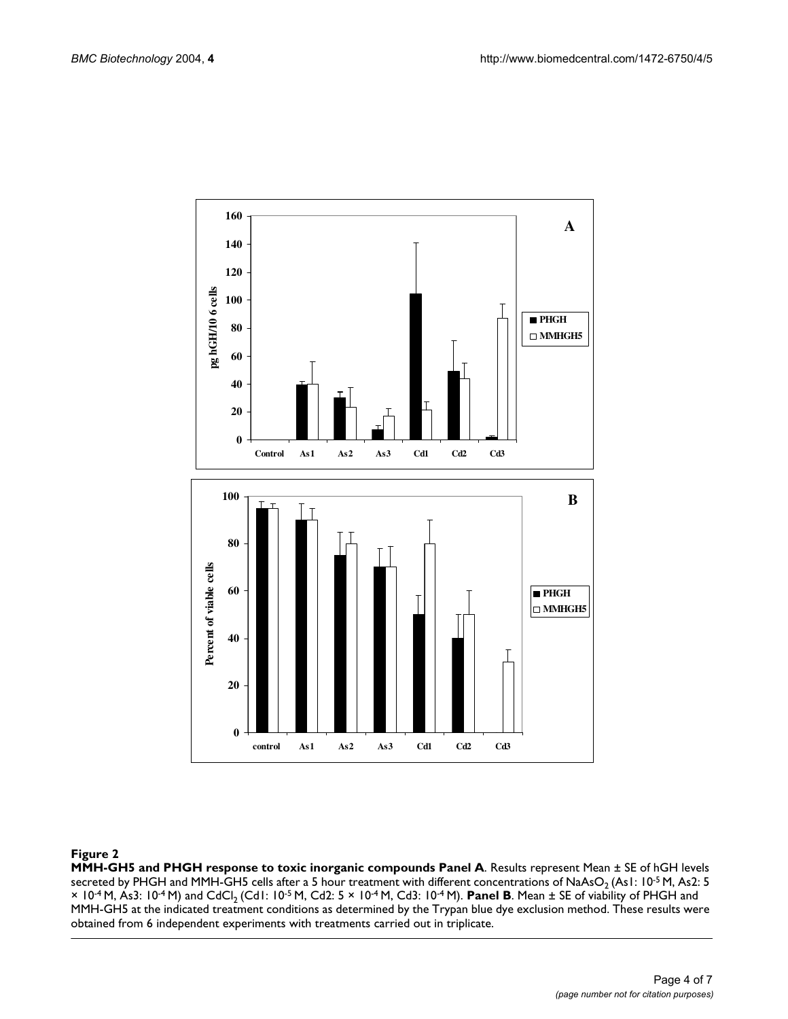

#### **Figure 2**

**MMH-GH5 and PHGH response to toxic inorganic compounds Panel A**. Results represent Mean ± SE of hGH levels secreted by PHGH and MMH-GH5 cells after a 5 hour treatment with different concentrations of NaAsO<sub>2</sub> (As1: 10<sup>-5</sup> M, As2: 5 × 10<sup>-4</sup> M, As3: 10<sup>-4</sup> M) and CdCl<sub>2</sub> (Cd1: 10<sup>-5</sup> M, Cd2: 5 × 10<sup>-4</sup> M, Cd3: 10<sup>-4</sup> M). **Panel B**. Mean ± SE of viability of PHGH and MMH-GH5 at the indicated treatment conditions as determined by the Trypan blue dye exclusion method. These results were obtained from 6 independent experiments with treatments carried out in triplicate.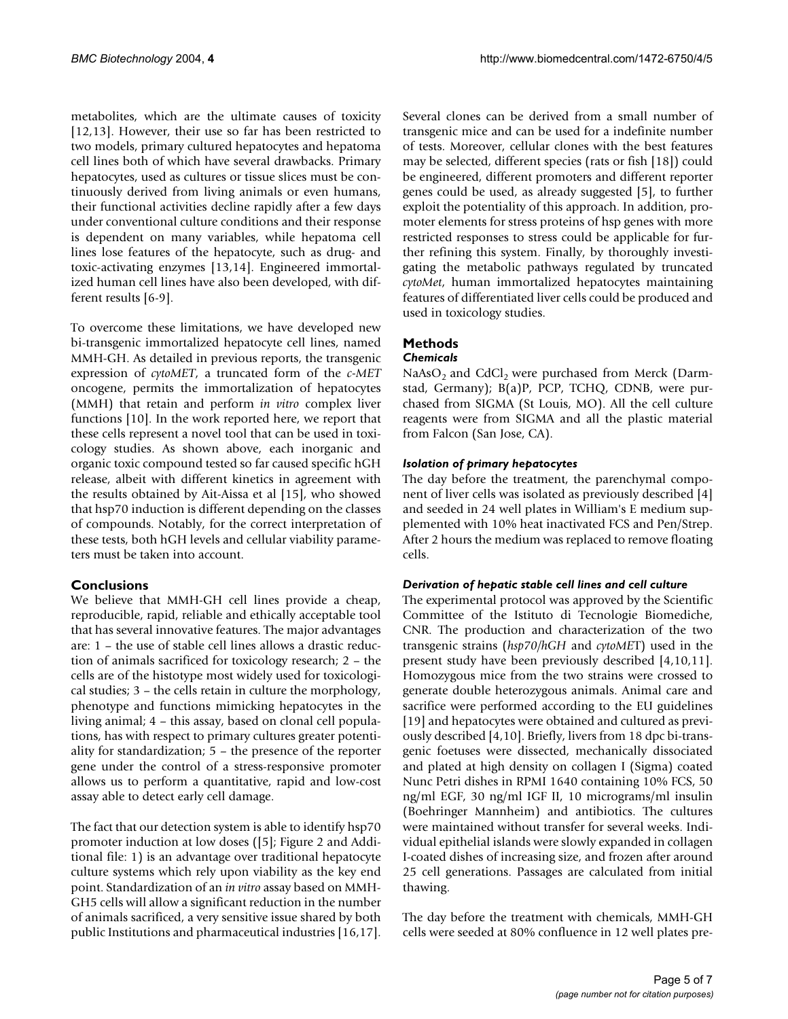metabolites, which are the ultimate causes of toxicity [12,13]. However, their use so far has been restricted to two models, primary cultured hepatocytes and hepatoma cell lines both of which have several drawbacks. Primary hepatocytes, used as cultures or tissue slices must be continuously derived from living animals or even humans, their functional activities decline rapidly after a few days under conventional culture conditions and their response is dependent on many variables, while hepatoma cell lines lose features of the hepatocyte, such as drug- and toxic-activating enzymes [13,14]. Engineered immortalized human cell lines have also been developed, with different results [6-9].

To overcome these limitations, we have developed new bi-transgenic immortalized hepatocyte cell lines, named MMH-GH. As detailed in previous reports, the transgenic expression of *cytoMET*, a truncated form of the *c-MET* oncogene, permits the immortalization of hepatocytes (MMH) that retain and perform *in vitro* complex liver functions [10]. In the work reported here, we report that these cells represent a novel tool that can be used in toxicology studies. As shown above, each inorganic and organic toxic compound tested so far caused specific hGH release, albeit with different kinetics in agreement with the results obtained by Ait-Aissa et al [15], who showed that hsp70 induction is different depending on the classes of compounds. Notably, for the correct interpretation of these tests, both hGH levels and cellular viability parameters must be taken into account.

## **Conclusions**

We believe that MMH-GH cell lines provide a cheap, reproducible, rapid, reliable and ethically acceptable tool that has several innovative features. The major advantages are: 1 – the use of stable cell lines allows a drastic reduction of animals sacrificed for toxicology research; 2 – the cells are of the histotype most widely used for toxicological studies; 3 – the cells retain in culture the morphology, phenotype and functions mimicking hepatocytes in the living animal; 4 – this assay, based on clonal cell populations, has with respect to primary cultures greater potentiality for standardization; 5 – the presence of the reporter gene under the control of a stress-responsive promoter allows us to perform a quantitative, rapid and low-cost assay able to detect early cell damage.

The fact that our detection system is able to identify hsp70 promoter induction at low doses ([5]; Figure 2 and Additional file: 1) is an advantage over traditional hepatocyte culture systems which rely upon viability as the key end point. Standardization of an *in vitro* assay based on MMH-GH5 cells will allow a significant reduction in the number of animals sacrificed, a very sensitive issue shared by both public Institutions and pharmaceutical industries [16,17].

Several clones can be derived from a small number of transgenic mice and can be used for a indefinite number of tests. Moreover, cellular clones with the best features may be selected, different species (rats or fish [18]) could be engineered, different promoters and different reporter genes could be used, as already suggested [5], to further exploit the potentiality of this approach. In addition, promoter elements for stress proteins of hsp genes with more restricted responses to stress could be applicable for further refining this system. Finally, by thoroughly investigating the metabolic pathways regulated by truncated *cytoMet*, human immortalized hepatocytes maintaining features of differentiated liver cells could be produced and used in toxicology studies.

# **Methods**

## *Chemicals*

NaAsO<sub>2</sub> and CdCl<sub>2</sub> were purchased from Merck (Darmstad, Germany); B(a)P, PCP, TCHQ, CDNB, were purchased from SIGMA (St Louis, MO). All the cell culture reagents were from SIGMA and all the plastic material from Falcon (San Jose, CA).

## *Isolation of primary hepatocytes*

The day before the treatment, the parenchymal component of liver cells was isolated as previously described [4] and seeded in 24 well plates in William's E medium supplemented with 10% heat inactivated FCS and Pen/Strep. After 2 hours the medium was replaced to remove floating cells.

#### *Derivation of hepatic stable cell lines and cell culture*

The experimental protocol was approved by the Scientific Committee of the Istituto di Tecnologie Biomediche, CNR. The production and characterization of the two transgenic strains (*hsp70/hGH* and *cytoME*T) used in the present study have been previously described [4,10,11]. Homozygous mice from the two strains were crossed to generate double heterozygous animals. Animal care and sacrifice were performed according to the EU guidelines [19] and hepatocytes were obtained and cultured as previously described [4,10]. Briefly, livers from 18 dpc bi-transgenic foetuses were dissected, mechanically dissociated and plated at high density on collagen I (Sigma) coated Nunc Petri dishes in RPMI 1640 containing 10% FCS, 50 ng/ml EGF, 30 ng/ml IGF II, 10 micrograms/ml insulin (Boehringer Mannheim) and antibiotics. The cultures were maintained without transfer for several weeks. Individual epithelial islands were slowly expanded in collagen I-coated dishes of increasing size, and frozen after around 25 cell generations. Passages are calculated from initial thawing.

The day before the treatment with chemicals, MMH-GH cells were seeded at 80% confluence in 12 well plates pre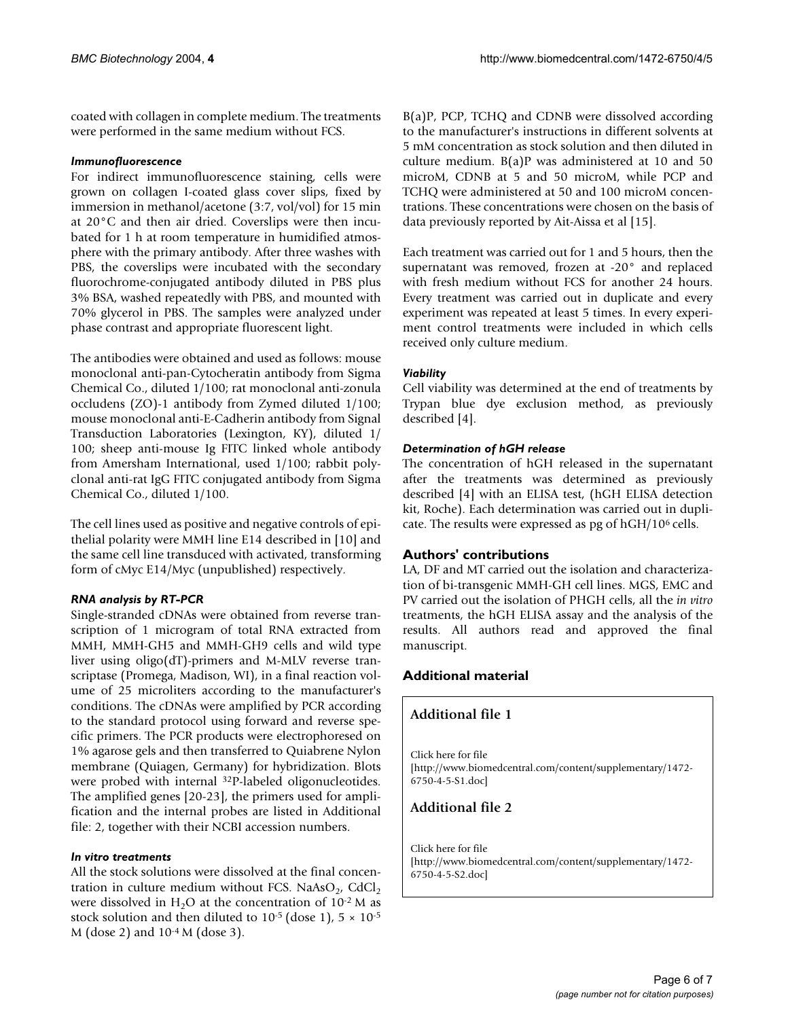coated with collagen in complete medium. The treatments were performed in the same medium without FCS.

#### *Immunofluorescence*

For indirect immunofluorescence staining, cells were grown on collagen I-coated glass cover slips, fixed by immersion in methanol/acetone (3:7, vol/vol) for 15 min at 20°C and then air dried. Coverslips were then incubated for 1 h at room temperature in humidified atmosphere with the primary antibody. After three washes with PBS, the coverslips were incubated with the secondary fluorochrome-conjugated antibody diluted in PBS plus 3% BSA, washed repeatedly with PBS, and mounted with 70% glycerol in PBS. The samples were analyzed under phase contrast and appropriate fluorescent light.

The antibodies were obtained and used as follows: mouse monoclonal anti-pan-Cytocheratin antibody from Sigma Chemical Co., diluted 1/100; rat monoclonal anti-zonula occludens (ZO)-1 antibody from Zymed diluted 1/100; mouse monoclonal anti-E-Cadherin antibody from Signal Transduction Laboratories (Lexington, KY), diluted 1/ 100; sheep anti-mouse Ig FITC linked whole antibody from Amersham International, used 1/100; rabbit polyclonal anti-rat IgG FITC conjugated antibody from Sigma Chemical Co., diluted 1/100.

The cell lines used as positive and negative controls of epithelial polarity were MMH line E14 described in [10] and the same cell line transduced with activated, transforming form of cMyc E14/Myc (unpublished) respectively.

#### *RNA analysis by RT-PCR*

Single-stranded cDNAs were obtained from reverse transcription of 1 microgram of total RNA extracted from MMH, MMH-GH5 and MMH-GH9 cells and wild type liver using oligo(dT)-primers and M-MLV reverse transcriptase (Promega, Madison, WI), in a final reaction volume of 25 microliters according to the manufacturer's conditions. The cDNAs were amplified by PCR according to the standard protocol using forward and reverse specific primers. The PCR products were electrophoresed on 1% agarose gels and then transferred to Quiabrene Nylon membrane (Quiagen, Germany) for hybridization. Blots were probed with internal 32P-labeled oligonucleotides. The amplified genes [20-23], the primers used for amplification and the internal probes are listed in Additional file: 2, together with their NCBI accession numbers.

#### *In vitro treatments*

All the stock solutions were dissolved at the final concentration in culture medium without FCS. NaAsO $_2$ , CdCl<sub>2</sub> were dissolved in H<sub>2</sub>O at the concentration of  $10^{-2}$  M as stock solution and then diluted to  $10^{-5}$  (dose 1),  $5 \times 10^{-5}$ M (dose 2) and 10-4 M (dose 3).

B(a)P, PCP, TCHQ and CDNB were dissolved according to the manufacturer's instructions in different solvents at 5 mM concentration as stock solution and then diluted in culture medium. B(a)P was administered at 10 and 50 microM, CDNB at 5 and 50 microM, while PCP and TCHQ were administered at 50 and 100 microM concentrations. These concentrations were chosen on the basis of data previously reported by Ait-Aissa et al [15].

Each treatment was carried out for 1 and 5 hours, then the supernatant was removed, frozen at -20° and replaced with fresh medium without FCS for another 24 hours. Every treatment was carried out in duplicate and every experiment was repeated at least 5 times. In every experiment control treatments were included in which cells received only culture medium.

## *Viability*

Cell viability was determined at the end of treatments by Trypan blue dye exclusion method, as previously described [4].

## *Determination of hGH release*

The concentration of hGH released in the supernatant after the treatments was determined as previously described [4] with an ELISA test, (hGH ELISA detection kit, Roche). Each determination was carried out in duplicate. The results were expressed as pg of hGH/106 cells.

## **Authors' contributions**

LA, DF and MT carried out the isolation and characterization of bi-transgenic MMH-GH cell lines. MGS, EMC and PV carried out the isolation of PHGH cells, all the *in vitro* treatments, the hGH ELISA assay and the analysis of the results. All authors read and approved the final manuscript.

# **Additional material**

## **Additional file 1**

Click here for file [\[http://www.biomedcentral.com/content/supplementary/1472-](http://www.biomedcentral.com/content/supplementary/1472-6750-4-5-S1.doc) 6750-4-5-S1.doc]

## **Additional file 2**

Click here for file [\[http://www.biomedcentral.com/content/supplementary/1472-](http://www.biomedcentral.com/content/supplementary/1472-6750-4-5-S2.doc) 6750-4-5-S2.doc]